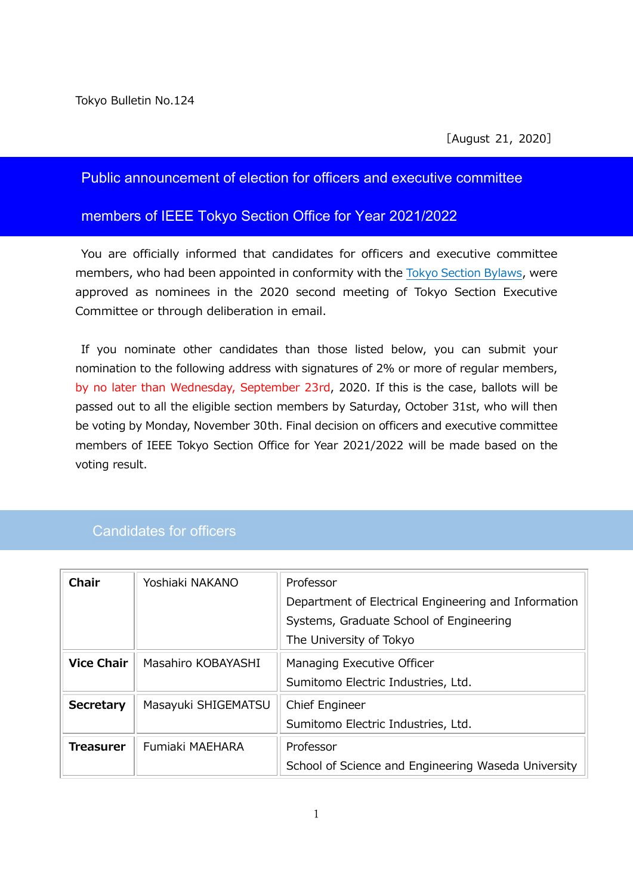### Public announcement of election for officers and executive committee

#### members of IEEE Tokyo Section Office for Year 2021/2022

You are officially informed that candidates for officers and executive committee members, who had been appointed in conformity with the Tokyo Section [Bylaws,](http://www.ieee-jp.org/section/tokyo/shibu/bylaws/bylaws.pdf) were approved as nominees in the 2020 second meeting of Tokyo Section Executive Committee or through deliberation in email.

If you nominate other candidates than those listed below, you can submit your nomination to the following address with signatures of 2% or more of regular members, by no later than Wednesday, September 23rd, 2020. If this is the case, ballots will be passed out to all the eligible section members by Saturday, October 31st, who will then be voting by Monday, November 30th. Final decision on officers and executive committee members of IEEE Tokyo Section Office for Year 2021/2022 will be made based on the voting result.

### Candidates for officers

| <b>Chair</b>      | Yoshiaki NAKANO     | Professor                                            |
|-------------------|---------------------|------------------------------------------------------|
|                   |                     | Department of Electrical Engineering and Information |
|                   |                     | Systems, Graduate School of Engineering              |
|                   |                     | The University of Tokyo                              |
| <b>Vice Chair</b> | Masahiro KOBAYASHI  | Managing Executive Officer                           |
|                   |                     | Sumitomo Electric Industries, Ltd.                   |
| <b>Secretary</b>  | Masayuki SHIGEMATSU | Chief Engineer                                       |
|                   |                     | Sumitomo Electric Industries, Ltd.                   |
| <b>Treasurer</b>  | Fumiaki MAEHARA     | Professor                                            |
|                   |                     | School of Science and Engineering Waseda University  |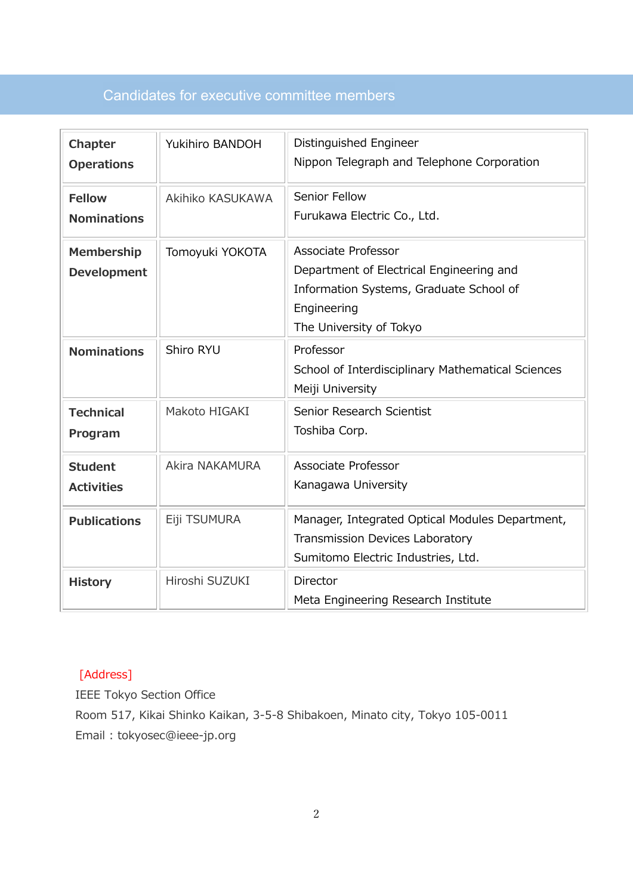# Candidates for executive committee members

| <b>Chapter</b><br><b>Operations</b>     | Yukihiro BANDOH       | Distinguished Engineer<br>Nippon Telegraph and Telephone Corporation                                                                                        |
|-----------------------------------------|-----------------------|-------------------------------------------------------------------------------------------------------------------------------------------------------------|
| <b>Fellow</b><br><b>Nominations</b>     | Akihiko KASUKAWA      | Senior Fellow<br>Furukawa Electric Co., Ltd.                                                                                                                |
| <b>Membership</b><br><b>Development</b> | Tomoyuki YOKOTA       | <b>Associate Professor</b><br>Department of Electrical Engineering and<br>Information Systems, Graduate School of<br>Engineering<br>The University of Tokyo |
| <b>Nominations</b>                      | Shiro RYU             | Professor<br>School of Interdisciplinary Mathematical Sciences<br>Meiji University                                                                          |
| <b>Technical</b><br>Program             | Makoto HIGAKI         | Senior Research Scientist<br>Toshiba Corp.                                                                                                                  |
| <b>Student</b><br><b>Activities</b>     | <b>Akira NAKAMURA</b> | Associate Professor<br>Kanagawa University                                                                                                                  |
| <b>Publications</b>                     | Eiji TSUMURA          | Manager, Integrated Optical Modules Department,<br>Transmission Devices Laboratory<br>Sumitomo Electric Industries, Ltd.                                    |
| <b>History</b>                          | Hiroshi SUZUKI        | Director<br>Meta Engineering Research Institute                                                                                                             |

## [Address]

IEEE Tokyo Section Office Room 517, Kikai Shinko Kaikan, 3-5-8 Shibakoen, Minato city, Tokyo 105-0011 Email : [tokyosec@ieee-jp.org](mailto:tokyosec@ieee-jp.org)